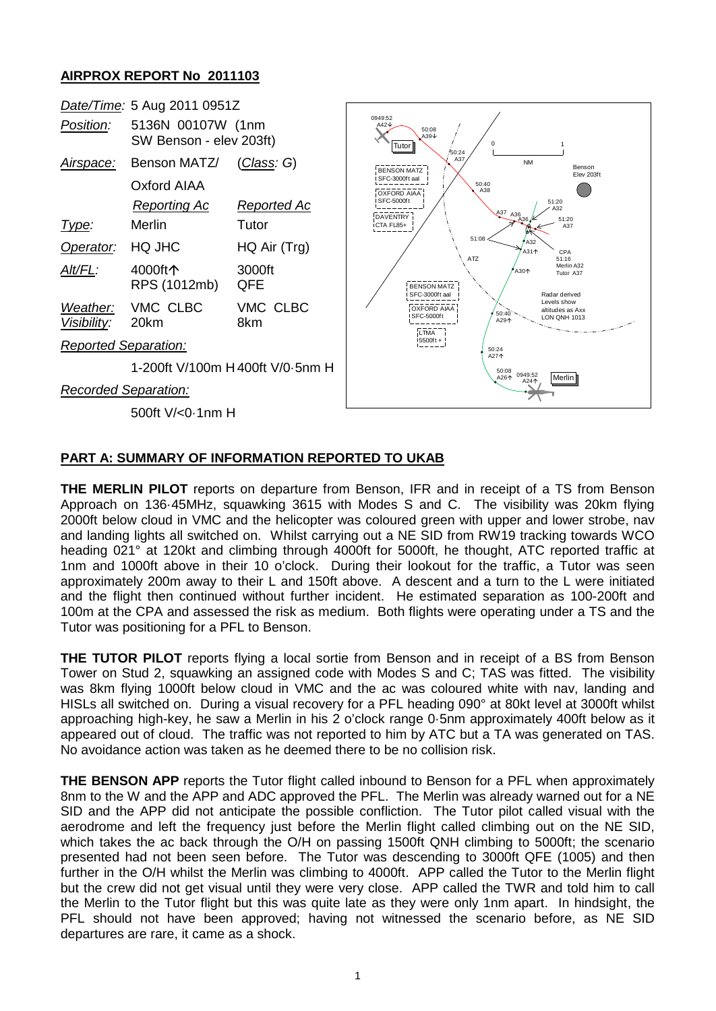## **AIRPROX REPORT No 2011103**



## **PART A: SUMMARY OF INFORMATION REPORTED TO UKAB**

**THE MERLIN PILOT** reports on departure from Benson, IFR and in receipt of a TS from Benson Approach on 136·45MHz, squawking 3615 with Modes S and C. The visibility was 20km flying 2000ft below cloud in VMC and the helicopter was coloured green with upper and lower strobe, nav and landing lights all switched on. Whilst carrying out a NE SID from RW19 tracking towards WCO heading 021° at 120kt and climbing through 4000ft for 5000ft, he thought, ATC reported traffic at 1nm and 1000ft above in their 10 o'clock. During their lookout for the traffic, a Tutor was seen approximately 200m away to their L and 150ft above. A descent and a turn to the L were initiated and the flight then continued without further incident. He estimated separation as 100-200ft and 100m at the CPA and assessed the risk as medium. Both flights were operating under a TS and the Tutor was positioning for a PFL to Benson.

**THE TUTOR PILOT** reports flying a local sortie from Benson and in receipt of a BS from Benson Tower on Stud 2, squawking an assigned code with Modes S and C; TAS was fitted. The visibility was 8km flying 1000ft below cloud in VMC and the ac was coloured white with nav, landing and HISLs all switched on. During a visual recovery for a PFL heading 090° at 80kt level at 3000ft whilst approaching high-key, he saw a Merlin in his 2 o'clock range 0·5nm approximately 400ft below as it appeared out of cloud. The traffic was not reported to him by ATC but a TA was generated on TAS. No avoidance action was taken as he deemed there to be no collision risk.

**THE BENSON APP** reports the Tutor flight called inbound to Benson for a PFL when approximately 8nm to the W and the APP and ADC approved the PFL. The Merlin was already warned out for a NE SID and the APP did not anticipate the possible confliction. The Tutor pilot called visual with the aerodrome and left the frequency just before the Merlin flight called climbing out on the NE SID, which takes the ac back through the O/H on passing 1500ft QNH climbing to 5000ft; the scenario presented had not been seen before. The Tutor was descending to 3000ft QFE (1005) and then further in the O/H whilst the Merlin was climbing to 4000ft. APP called the Tutor to the Merlin flight but the crew did not get visual until they were very close. APP called the TWR and told him to call the Merlin to the Tutor flight but this was quite late as they were only 1nm apart. In hindsight, the PFL should not have been approved; having not witnessed the scenario before, as NE SID departures are rare, it came as a shock.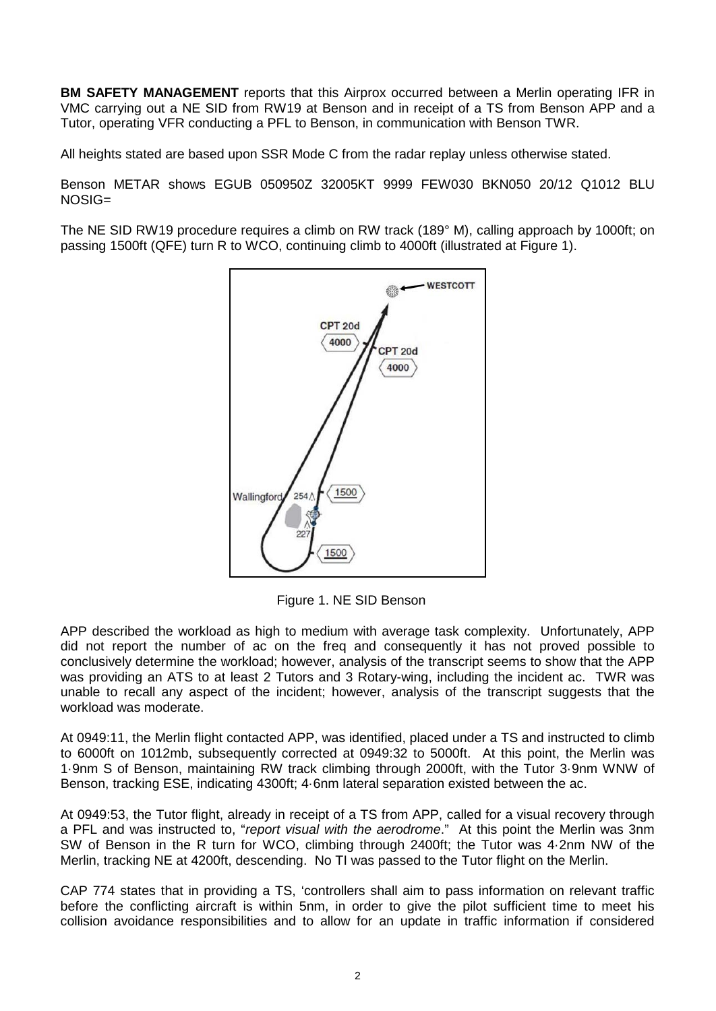**BM SAFETY MANAGEMENT** reports that this Airprox occurred between a Merlin operating IFR in VMC carrying out a NE SID from RW19 at Benson and in receipt of a TS from Benson APP and a Tutor, operating VFR conducting a PFL to Benson, in communication with Benson TWR.

All heights stated are based upon SSR Mode C from the radar replay unless otherwise stated.

Benson METAR shows EGUB 050950Z 32005KT 9999 FEW030 BKN050 20/12 Q1012 BLU NOSIG=

The NE SID RW19 procedure requires a climb on RW track (189° M), calling approach by 1000ft; on passing 1500ft (QFE) turn R to WCO, continuing climb to 4000ft (illustrated at Figure 1).



Figure 1. NE SID Benson

APP described the workload as high to medium with average task complexity. Unfortunately, APP did not report the number of ac on the freq and consequently it has not proved possible to conclusively determine the workload; however, analysis of the transcript seems to show that the APP was providing an ATS to at least 2 Tutors and 3 Rotary-wing, including the incident ac. TWR was unable to recall any aspect of the incident; however, analysis of the transcript suggests that the workload was moderate.

At 0949:11, the Merlin flight contacted APP, was identified, placed under a TS and instructed to climb to 6000ft on 1012mb, subsequently corrected at 0949:32 to 5000ft. At this point, the Merlin was 1·9nm S of Benson, maintaining RW track climbing through 2000ft, with the Tutor 3·9nm WNW of Benson, tracking ESE, indicating 4300ft; 4·6nm lateral separation existed between the ac.

At 0949:53, the Tutor flight, already in receipt of a TS from APP, called for a visual recovery through a PFL and was instructed to, "*report visual with the aerodrome*." At this point the Merlin was 3nm SW of Benson in the R turn for WCO, climbing through 2400ft; the Tutor was 4·2nm NW of the Merlin, tracking NE at 4200ft, descending. No TI was passed to the Tutor flight on the Merlin.

CAP 774 states that in providing a TS, 'controllers shall aim to pass information on relevant traffic before the conflicting aircraft is within 5nm, in order to give the pilot sufficient time to meet his collision avoidance responsibilities and to allow for an update in traffic information if considered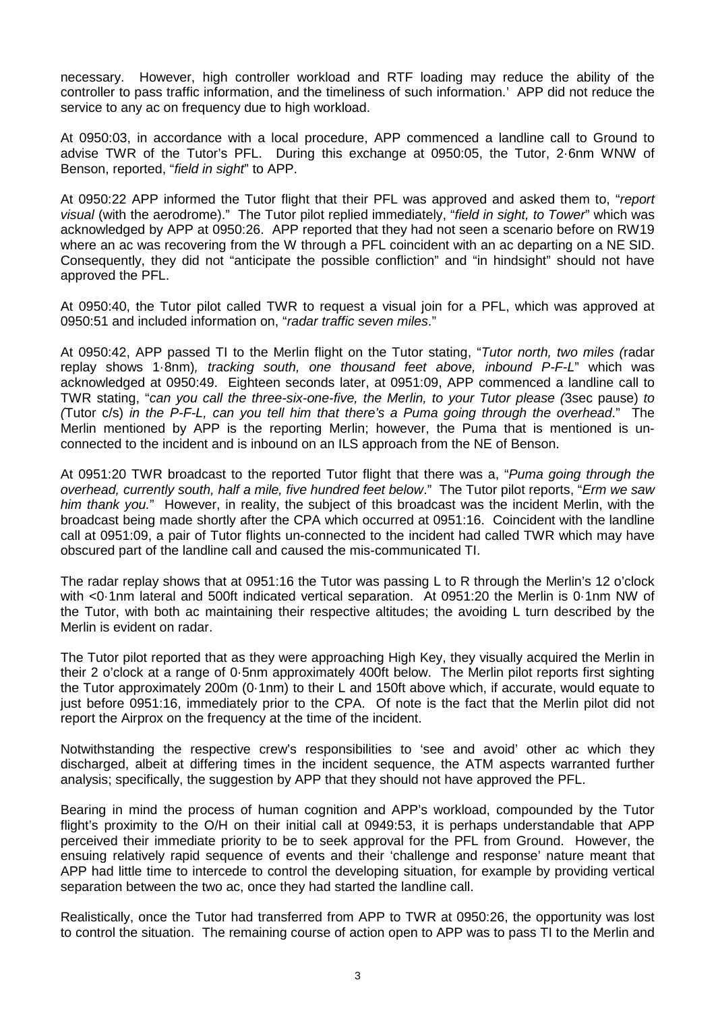necessary. However, high controller workload and RTF loading may reduce the ability of the controller to pass traffic information, and the timeliness of such information.' APP did not reduce the service to any ac on frequency due to high workload.

At 0950:03, in accordance with a local procedure, APP commenced a landline call to Ground to advise TWR of the Tutor's PFL. During this exchange at 0950:05, the Tutor, 2·6nm WNW of Benson, reported, "*field in sight*" to APP.

At 0950:22 APP informed the Tutor flight that their PFL was approved and asked them to, "*report visual* (with the aerodrome)." The Tutor pilot replied immediately, "*field in sight, to Tower*" which was acknowledged by APP at 0950:26. APP reported that they had not seen a scenario before on RW19 where an ac was recovering from the W through a PFL coincident with an ac departing on a NE SID. Consequently, they did not "anticipate the possible confliction" and "in hindsight" should not have approved the PFL.

At 0950:40, the Tutor pilot called TWR to request a visual join for a PFL, which was approved at 0950:51 and included information on, "*radar traffic seven miles*."

At 0950:42, APP passed TI to the Merlin flight on the Tutor stating, "*Tutor north, two miles (*radar replay shows 1·8nm)*, tracking south, one thousand feet above, inbound P-F-L*" which was acknowledged at 0950:49. Eighteen seconds later, at 0951:09, APP commenced a landline call to TWR stating, "*can you call the three-six-one-five, the Merlin, to your Tutor please (*3sec pause) *to (*Tutor c/s) *in the P-F-L, can you tell him that there's a Puma going through the overhead*." The Merlin mentioned by APP is the reporting Merlin; however, the Puma that is mentioned is unconnected to the incident and is inbound on an ILS approach from the NE of Benson.

At 0951:20 TWR broadcast to the reported Tutor flight that there was a, "*Puma going through the overhead, currently south, half a mile, five hundred feet below*." The Tutor pilot reports, "*Erm we saw him thank you.*" However, in reality, the subject of this broadcast was the incident Merlin, with the broadcast being made shortly after the CPA which occurred at 0951:16. Coincident with the landline call at 0951:09, a pair of Tutor flights un-connected to the incident had called TWR which may have obscured part of the landline call and caused the mis-communicated TI.

The radar replay shows that at 0951:16 the Tutor was passing L to R through the Merlin's 12 o'clock with <0·1nm lateral and 500ft indicated vertical separation. At 0951:20 the Merlin is 0·1nm NW of the Tutor, with both ac maintaining their respective altitudes; the avoiding L turn described by the Merlin is evident on radar.

The Tutor pilot reported that as they were approaching High Key, they visually acquired the Merlin in their 2 o'clock at a range of 0·5nm approximately 400ft below. The Merlin pilot reports first sighting the Tutor approximately 200m (0·1nm) to their L and 150ft above which, if accurate, would equate to just before 0951:16, immediately prior to the CPA. Of note is the fact that the Merlin pilot did not report the Airprox on the frequency at the time of the incident.

Notwithstanding the respective crew's responsibilities to 'see and avoid' other ac which they discharged, albeit at differing times in the incident sequence, the ATM aspects warranted further analysis; specifically, the suggestion by APP that they should not have approved the PFL.

Bearing in mind the process of human cognition and APP's workload, compounded by the Tutor flight's proximity to the O/H on their initial call at 0949:53, it is perhaps understandable that APP perceived their immediate priority to be to seek approval for the PFL from Ground. However, the ensuing relatively rapid sequence of events and their 'challenge and response' nature meant that APP had little time to intercede to control the developing situation, for example by providing vertical separation between the two ac, once they had started the landline call.

Realistically, once the Tutor had transferred from APP to TWR at 0950:26, the opportunity was lost to control the situation. The remaining course of action open to APP was to pass TI to the Merlin and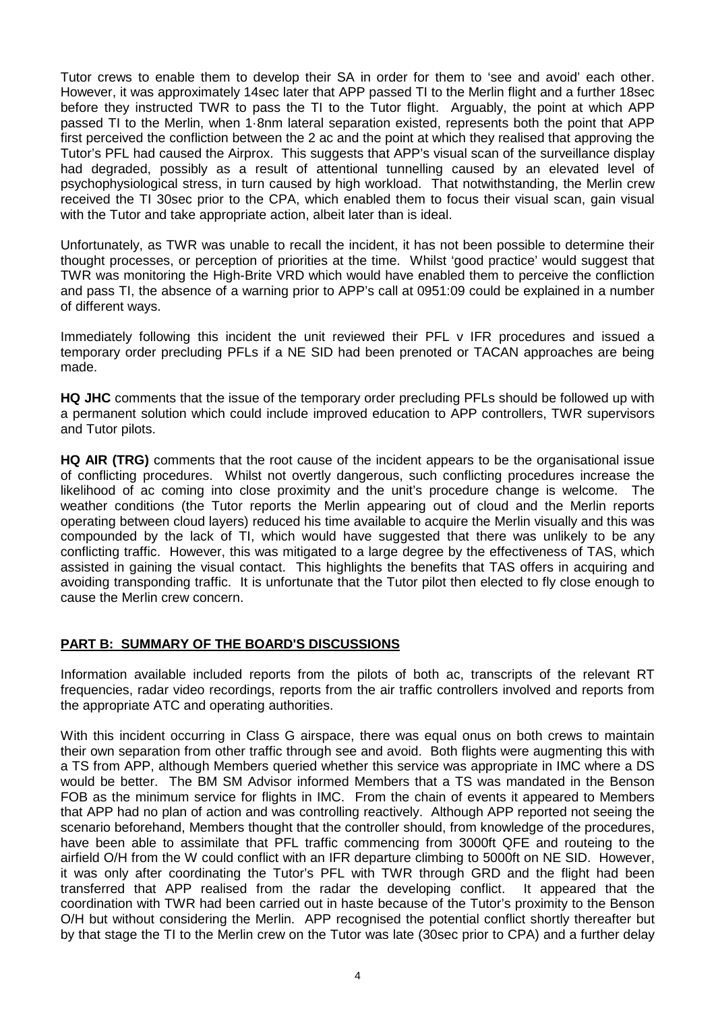Tutor crews to enable them to develop their SA in order for them to 'see and avoid' each other. However, it was approximately 14sec later that APP passed TI to the Merlin flight and a further 18sec before they instructed TWR to pass the TI to the Tutor flight. Arguably, the point at which APP passed TI to the Merlin, when 1·8nm lateral separation existed, represents both the point that APP first perceived the confliction between the 2 ac and the point at which they realised that approving the Tutor's PFL had caused the Airprox. This suggests that APP's visual scan of the surveillance display had degraded, possibly as a result of attentional tunnelling caused by an elevated level of psychophysiological stress, in turn caused by high workload. That notwithstanding, the Merlin crew received the TI 30sec prior to the CPA, which enabled them to focus their visual scan, gain visual with the Tutor and take appropriate action, albeit later than is ideal.

Unfortunately, as TWR was unable to recall the incident, it has not been possible to determine their thought processes, or perception of priorities at the time. Whilst 'good practice' would suggest that TWR was monitoring the High-Brite VRD which would have enabled them to perceive the confliction and pass TI, the absence of a warning prior to APP's call at 0951:09 could be explained in a number of different ways.

Immediately following this incident the unit reviewed their PFL v IFR procedures and issued a temporary order precluding PFLs if a NE SID had been prenoted or TACAN approaches are being made.

**HQ JHC** comments that the issue of the temporary order precluding PFLs should be followed up with a permanent solution which could include improved education to APP controllers, TWR supervisors and Tutor pilots.

**HQ AIR (TRG)** comments that the root cause of the incident appears to be the organisational issue of conflicting procedures. Whilst not overtly dangerous, such conflicting procedures increase the likelihood of ac coming into close proximity and the unit's procedure change is welcome. The weather conditions (the Tutor reports the Merlin appearing out of cloud and the Merlin reports operating between cloud layers) reduced his time available to acquire the Merlin visually and this was compounded by the lack of TI, which would have suggested that there was unlikely to be any conflicting traffic. However, this was mitigated to a large degree by the effectiveness of TAS, which assisted in gaining the visual contact. This highlights the benefits that TAS offers in acquiring and avoiding transponding traffic. It is unfortunate that the Tutor pilot then elected to fly close enough to cause the Merlin crew concern.

## **PART B: SUMMARY OF THE BOARD'S DISCUSSIONS**

Information available included reports from the pilots of both ac, transcripts of the relevant RT frequencies, radar video recordings, reports from the air traffic controllers involved and reports from the appropriate ATC and operating authorities.

With this incident occurring in Class G airspace, there was equal onus on both crews to maintain their own separation from other traffic through see and avoid. Both flights were augmenting this with a TS from APP, although Members queried whether this service was appropriate in IMC where a DS would be better. The BM SM Advisor informed Members that a TS was mandated in the Benson FOB as the minimum service for flights in IMC. From the chain of events it appeared to Members that APP had no plan of action and was controlling reactively. Although APP reported not seeing the scenario beforehand, Members thought that the controller should, from knowledge of the procedures, have been able to assimilate that PFL traffic commencing from 3000ft QFE and routeing to the airfield O/H from the W could conflict with an IFR departure climbing to 5000ft on NE SID. However, it was only after coordinating the Tutor's PFL with TWR through GRD and the flight had been transferred that APP realised from the radar the developing conflict. It appeared that the coordination with TWR had been carried out in haste because of the Tutor's proximity to the Benson O/H but without considering the Merlin. APP recognised the potential conflict shortly thereafter but by that stage the TI to the Merlin crew on the Tutor was late (30sec prior to CPA) and a further delay